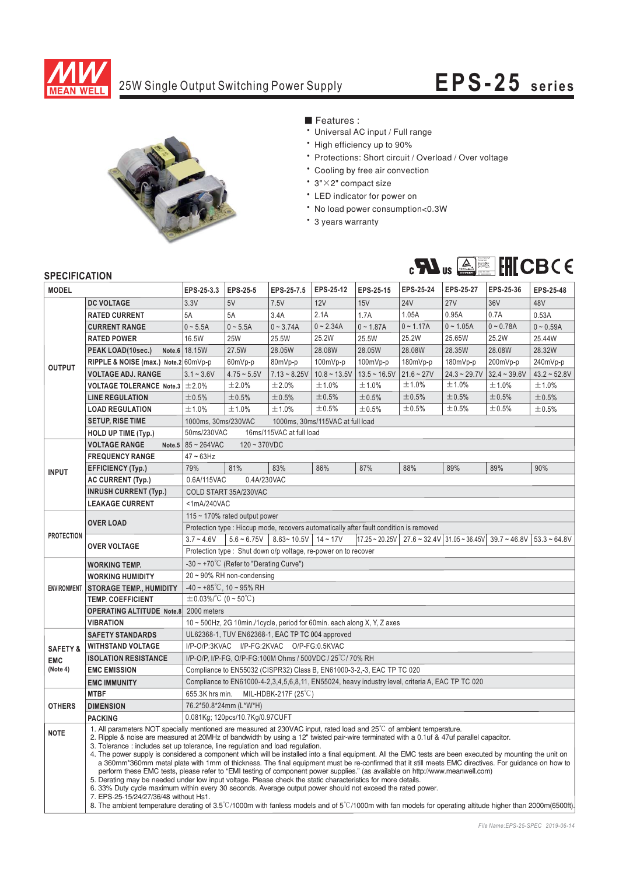

## 25W Single Output Switching Power Supply **EPS-25 series**



■ Features :

- \* Universal AC input / Full range
- \* High efficiency up to 90%
- \* Protections: Short circuit / Overload / Over voltage
- \* Cooling by free air convection
- $\cdot$  3" $\times$ 2" compact size
- \* LED indicator for power on
- \* No load power consumption<0.3W
- \* 3 years warranty



## **SPECIFICATION**

| <b>MODEL</b>                                  |                                                                                                                                                                                                                                                                                                                                                                                                                                                                                                                                                                                                                                                                                                                                                                                                                                                                                                                                                                                                                                                                                                                                         | EPS-25-3.3                                                                                                                            | <b>EPS-25-5</b>                 | EPS-25-7.5     | EPS-25-12   | EPS-25-15                      | <b>EPS-25-24</b> | EPS-25-27        | EPS-25-36      | EPS-25-48         |
|-----------------------------------------------|-----------------------------------------------------------------------------------------------------------------------------------------------------------------------------------------------------------------------------------------------------------------------------------------------------------------------------------------------------------------------------------------------------------------------------------------------------------------------------------------------------------------------------------------------------------------------------------------------------------------------------------------------------------------------------------------------------------------------------------------------------------------------------------------------------------------------------------------------------------------------------------------------------------------------------------------------------------------------------------------------------------------------------------------------------------------------------------------------------------------------------------------|---------------------------------------------------------------------------------------------------------------------------------------|---------------------------------|----------------|-------------|--------------------------------|------------------|------------------|----------------|-------------------|
| <b>OUTPUT</b>                                 | <b>DC VOLTAGE</b>                                                                                                                                                                                                                                                                                                                                                                                                                                                                                                                                                                                                                                                                                                                                                                                                                                                                                                                                                                                                                                                                                                                       | 3.3V                                                                                                                                  | 5V                              | 7.5V           | 12V         | 15V                            | <b>24V</b>       | <b>27V</b>       | 36V            | 48V               |
|                                               | <b>RATED CURRENT</b>                                                                                                                                                                                                                                                                                                                                                                                                                                                                                                                                                                                                                                                                                                                                                                                                                                                                                                                                                                                                                                                                                                                    | 5A                                                                                                                                    | 5A                              | 3.4A           | 2.1A        | 1.7A                           | 1.05A            | 0.95A            | 0.7A           | 0.53A             |
|                                               | <b>CURRENT RANGE</b>                                                                                                                                                                                                                                                                                                                                                                                                                                                                                                                                                                                                                                                                                                                                                                                                                                                                                                                                                                                                                                                                                                                    | $0 - 5.5A$                                                                                                                            | $0 - 5.5A$                      | $0 - 3.74A$    | $0 - 2.34A$ | $0 - 1.87A$                    | $0 - 1.17A$      | $0 - 1.05A$      | $0 - 0.78A$    | $0 - 0.59A$       |
|                                               | <b>RATED POWER</b>                                                                                                                                                                                                                                                                                                                                                                                                                                                                                                                                                                                                                                                                                                                                                                                                                                                                                                                                                                                                                                                                                                                      | 16.5W                                                                                                                                 | 25W                             | 25.5W          | 25.2W       | 25.5W                          | 25.2W            | 25.65W           | 25.2W          | 25.44W            |
|                                               | PEAK LOAD(10sec.)<br>Note.6                                                                                                                                                                                                                                                                                                                                                                                                                                                                                                                                                                                                                                                                                                                                                                                                                                                                                                                                                                                                                                                                                                             | 18.15W                                                                                                                                | 27.5W                           | 28.05W         | 28.08W      | 28.05W                         | 28.08W           | 28.35W           | 28.08W         | 28.32W            |
|                                               | RIPPLE & NOISE (max.) Note.2 60mVp-p                                                                                                                                                                                                                                                                                                                                                                                                                                                                                                                                                                                                                                                                                                                                                                                                                                                                                                                                                                                                                                                                                                    |                                                                                                                                       | 60mVp-p                         | 80mVp-p        | 100mVp-p    | 100mVp-p                       | 180mVp-p         | 180mVp-p         | 200mVp-p       | 240mVp-p          |
|                                               | <b>VOLTAGE ADJ. RANGE</b>                                                                                                                                                                                                                                                                                                                                                                                                                                                                                                                                                                                                                                                                                                                                                                                                                                                                                                                                                                                                                                                                                                               | $3.1 - 3.6V$                                                                                                                          | $4.75 - 5.5V$                   | $7.13 - 8.25V$ |             | $10.8 \sim 13.5V$ 13.5 ~ 16.5V | $21.6 - 27V$     | $24.3 - 29.7V$   | $32.4 - 39.6V$ | $43.2 \div 52.8V$ |
|                                               | <b>VOLTAGE TOLERANCE Note.3</b>                                                                                                                                                                                                                                                                                                                                                                                                                                                                                                                                                                                                                                                                                                                                                                                                                                                                                                                                                                                                                                                                                                         | ±2.0%                                                                                                                                 | ±2.0%                           | ±2.0%          | ±1.0%       | ±1.0%                          | ±1.0%            | ±1.0%            | ±1.0%          | ±1.0%             |
|                                               | <b>LINE REGULATION</b>                                                                                                                                                                                                                                                                                                                                                                                                                                                                                                                                                                                                                                                                                                                                                                                                                                                                                                                                                                                                                                                                                                                  | ±0.5%                                                                                                                                 | ±0.5%                           | ±0.5%          | ±0.5%       | ±0.5%                          | ±0.5%            | ±0.5%            | ±0.5%          | ±0.5%             |
|                                               | <b>LOAD REGULATION</b>                                                                                                                                                                                                                                                                                                                                                                                                                                                                                                                                                                                                                                                                                                                                                                                                                                                                                                                                                                                                                                                                                                                  | ±1.0%                                                                                                                                 | ±1.0%                           | ±1.0%          | ±0.5%       | ±0.5%                          | ±0.5%            | ±0.5%            | ±0.5%          | ±0.5%             |
|                                               | <b>SETUP, RISE TIME</b>                                                                                                                                                                                                                                                                                                                                                                                                                                                                                                                                                                                                                                                                                                                                                                                                                                                                                                                                                                                                                                                                                                                 | 1000ms, 30ms/230VAC<br>1000ms, 30ms/115VAC at full load                                                                               |                                 |                |             |                                |                  |                  |                |                   |
|                                               | HOLD UP TIME (Typ.)                                                                                                                                                                                                                                                                                                                                                                                                                                                                                                                                                                                                                                                                                                                                                                                                                                                                                                                                                                                                                                                                                                                     | 50ms/230VAC<br>16ms/115VAC at full load                                                                                               |                                 |                |             |                                |                  |                  |                |                   |
| <b>INPUT</b>                                  | <b>VOLTAGE RANGE</b><br>Note.5                                                                                                                                                                                                                                                                                                                                                                                                                                                                                                                                                                                                                                                                                                                                                                                                                                                                                                                                                                                                                                                                                                          | 85~264VAC<br>$120 - 370VDC$                                                                                                           |                                 |                |             |                                |                  |                  |                |                   |
|                                               | <b>FREQUENCY RANGE</b>                                                                                                                                                                                                                                                                                                                                                                                                                                                                                                                                                                                                                                                                                                                                                                                                                                                                                                                                                                                                                                                                                                                  | $47 - 63$ Hz                                                                                                                          |                                 |                |             |                                |                  |                  |                |                   |
|                                               | <b>EFFICIENCY (Typ.)</b>                                                                                                                                                                                                                                                                                                                                                                                                                                                                                                                                                                                                                                                                                                                                                                                                                                                                                                                                                                                                                                                                                                                | 79%                                                                                                                                   | 81%                             | 83%            | 86%         | 87%                            | 88%              | 89%              | 89%            | 90%               |
|                                               | <b>AC CURRENT (Typ.)</b>                                                                                                                                                                                                                                                                                                                                                                                                                                                                                                                                                                                                                                                                                                                                                                                                                                                                                                                                                                                                                                                                                                                | 0.6A/115VAC<br>0.4A/230VAC                                                                                                            |                                 |                |             |                                |                  |                  |                |                   |
|                                               | <b>INRUSH CURRENT (Typ.)</b>                                                                                                                                                                                                                                                                                                                                                                                                                                                                                                                                                                                                                                                                                                                                                                                                                                                                                                                                                                                                                                                                                                            | COLD START 35A/230VAC                                                                                                                 |                                 |                |             |                                |                  |                  |                |                   |
|                                               | <b>LEAKAGE CURRENT</b>                                                                                                                                                                                                                                                                                                                                                                                                                                                                                                                                                                                                                                                                                                                                                                                                                                                                                                                                                                                                                                                                                                                  | <1mA/240VAC                                                                                                                           |                                 |                |             |                                |                  |                  |                |                   |
| <b>PROTECTION</b>                             | <b>OVER LOAD</b>                                                                                                                                                                                                                                                                                                                                                                                                                                                                                                                                                                                                                                                                                                                                                                                                                                                                                                                                                                                                                                                                                                                        | 115 $\sim$ 170% rated output power                                                                                                    |                                 |                |             |                                |                  |                  |                |                   |
|                                               |                                                                                                                                                                                                                                                                                                                                                                                                                                                                                                                                                                                                                                                                                                                                                                                                                                                                                                                                                                                                                                                                                                                                         | Protection type : Hiccup mode, recovers automatically after fault condition is removed                                                |                                 |                |             |                                |                  |                  |                |                   |
|                                               | <b>OVER VOLTAGE</b>                                                                                                                                                                                                                                                                                                                                                                                                                                                                                                                                                                                                                                                                                                                                                                                                                                                                                                                                                                                                                                                                                                                     | $3.7 - 4.6V$                                                                                                                          | $5.6 - 6.75V$                   | $8.63 - 10.5V$ | $14 - 17V$  | $17.25 - 20.25V$               | $27.6 - 32.4V$   | $31.05 - 36.45V$ | $39.7 - 46.8V$ | $53.3 - 64.8V$    |
|                                               |                                                                                                                                                                                                                                                                                                                                                                                                                                                                                                                                                                                                                                                                                                                                                                                                                                                                                                                                                                                                                                                                                                                                         | Protection type: Shut down o/p voltage, re-power on to recover                                                                        |                                 |                |             |                                |                  |                  |                |                   |
| <b>ENVIRONMENT</b>                            | <b>WORKING TEMP.</b>                                                                                                                                                                                                                                                                                                                                                                                                                                                                                                                                                                                                                                                                                                                                                                                                                                                                                                                                                                                                                                                                                                                    | $-30 \sim +70^{\circ}$ C (Refer to "Derating Curve")                                                                                  |                                 |                |             |                                |                  |                  |                |                   |
|                                               | <b>WORKING HUMIDITY</b>                                                                                                                                                                                                                                                                                                                                                                                                                                                                                                                                                                                                                                                                                                                                                                                                                                                                                                                                                                                                                                                                                                                 | $20 \sim 90\%$ RH non-condensing                                                                                                      |                                 |                |             |                                |                  |                  |                |                   |
|                                               | <b>STORAGE TEMP., HUMIDITY</b>                                                                                                                                                                                                                                                                                                                                                                                                                                                                                                                                                                                                                                                                                                                                                                                                                                                                                                                                                                                                                                                                                                          | $-40 \sim +85^{\circ}$ C, 10 ~ 95% RH                                                                                                 |                                 |                |             |                                |                  |                  |                |                   |
|                                               | <b>TEMP. COEFFICIENT</b>                                                                                                                                                                                                                                                                                                                                                                                                                                                                                                                                                                                                                                                                                                                                                                                                                                                                                                                                                                                                                                                                                                                | $\pm$ 0.03%/°C (0 ~ 50°C)                                                                                                             |                                 |                |             |                                |                  |                  |                |                   |
|                                               | <b>OPERATING ALTITUDE Note.8</b>                                                                                                                                                                                                                                                                                                                                                                                                                                                                                                                                                                                                                                                                                                                                                                                                                                                                                                                                                                                                                                                                                                        | 2000 meters                                                                                                                           |                                 |                |             |                                |                  |                  |                |                   |
|                                               | <b>VIBRATION</b>                                                                                                                                                                                                                                                                                                                                                                                                                                                                                                                                                                                                                                                                                                                                                                                                                                                                                                                                                                                                                                                                                                                        | 10 $\sim$ 500Hz, 2G 10min./1cycle, period for 60min. each along X, Y, Z axes                                                          |                                 |                |             |                                |                  |                  |                |                   |
| <b>SAFETY &amp;</b><br><b>EMC</b><br>(Note 4) | <b>SAFETY STANDARDS</b>                                                                                                                                                                                                                                                                                                                                                                                                                                                                                                                                                                                                                                                                                                                                                                                                                                                                                                                                                                                                                                                                                                                 | UL62368-1, TUV EN62368-1, EAC TP TC 004 approved<br>I/P-O/P:3KVAC I/P-FG:2KVAC O/P-FG:0.5KVAC                                         |                                 |                |             |                                |                  |                  |                |                   |
|                                               | <b>WITHSTAND VOLTAGE</b>                                                                                                                                                                                                                                                                                                                                                                                                                                                                                                                                                                                                                                                                                                                                                                                                                                                                                                                                                                                                                                                                                                                |                                                                                                                                       |                                 |                |             |                                |                  |                  |                |                   |
|                                               | <b>ISOLATION RESISTANCE</b><br><b>EMC EMISSION</b>                                                                                                                                                                                                                                                                                                                                                                                                                                                                                                                                                                                                                                                                                                                                                                                                                                                                                                                                                                                                                                                                                      | I/P-O/P, I/P-FG, O/P-FG:100M Ohms / 500VDC / 25 °C / 70% RH<br>Compliance to EN55032 (CISPR32) Class B, EN61000-3-2,-3, EAC TP TC 020 |                                 |                |             |                                |                  |                  |                |                   |
|                                               |                                                                                                                                                                                                                                                                                                                                                                                                                                                                                                                                                                                                                                                                                                                                                                                                                                                                                                                                                                                                                                                                                                                                         | Compliance to EN61000-4-2,3,4,5,6,8,11, EN55024, heavy industry level, criteria A, EAC TP TC 020                                      |                                 |                |             |                                |                  |                  |                |                   |
| <b>OTHERS</b>                                 | <b>EMC IMMUNITY</b><br><b>MTBF</b>                                                                                                                                                                                                                                                                                                                                                                                                                                                                                                                                                                                                                                                                                                                                                                                                                                                                                                                                                                                                                                                                                                      | 655.3K hrs min.<br>MIL-HDBK-217F (25°C)                                                                                               |                                 |                |             |                                |                  |                  |                |                   |
|                                               | <b>DIMENSION</b>                                                                                                                                                                                                                                                                                                                                                                                                                                                                                                                                                                                                                                                                                                                                                                                                                                                                                                                                                                                                                                                                                                                        | 76.2*50.8*24mm (L*W*H)                                                                                                                |                                 |                |             |                                |                  |                  |                |                   |
|                                               | <b>PACKING</b>                                                                                                                                                                                                                                                                                                                                                                                                                                                                                                                                                                                                                                                                                                                                                                                                                                                                                                                                                                                                                                                                                                                          |                                                                                                                                       | 0.081Kg; 120pcs/10.7Kg/0.97CUFT |                |             |                                |                  |                  |                |                   |
|                                               |                                                                                                                                                                                                                                                                                                                                                                                                                                                                                                                                                                                                                                                                                                                                                                                                                                                                                                                                                                                                                                                                                                                                         | 1. All parameters NOT specially mentioned are measured at 230VAC input, rated load and 25 <sup>°</sup> C of ambient temperature.      |                                 |                |             |                                |                  |                  |                |                   |
| <b>NOTE</b>                                   | 2. Ripple & noise are measured at 20MHz of bandwidth by using a 12" twisted pair-wire terminated with a 0.1uf & 47uf parallel capacitor.<br>3. Tolerance: includes set up tolerance, line regulation and load regulation.<br>4. The power supply is considered a component which will be installed into a final equipment. All the EMC tests are been executed by mounting the unit on<br>a 360mm*360mm metal plate with 1mm of thickness. The final equipment must be re-confirmed that it still meets EMC directives. For guidance on how to<br>perform these EMC tests, please refer to "EMI testing of component power supplies." (as available on http://www.meanwell.com)<br>5. Derating may be needed under low input voltage. Please check the static characteristics for more details.<br>6. 33% Duty cycle maximum within every 30 seconds. Average output power should not exceed the rated power.<br>7. EPS-25-15/24/27/36/48 without Hs1.<br>8. The ambient temperature derating of $3.5^{\circ}$ C/1000m with fanless models and of $5^{\circ}$ C/1000m with fan models for operating altitude higher than 2000m(6500ft). |                                                                                                                                       |                                 |                |             |                                |                  |                  |                |                   |